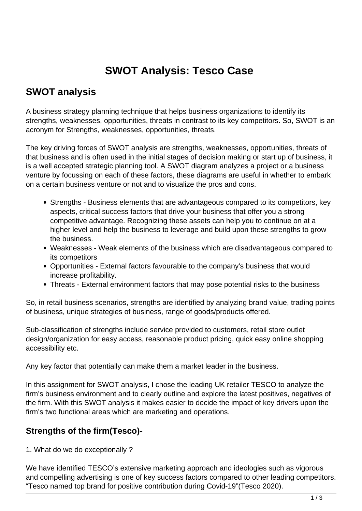# **SWOT Analysis: Tesco Case**

# **SWOT analysis**

A business strategy planning technique that helps business organizations to identify its strengths, weaknesses, opportunities, threats in contrast to its key competitors. So, SWOT is an acronym for Strengths, weaknesses, opportunities, threats.

The key driving forces of SWOT analysis are strengths, weaknesses, opportunities, threats of that business and is often used in the initial stages of decision making or start up of business, it is a well accepted strategic planning tool. A SWOT diagram analyzes a project or a business venture by focussing on each of these factors, these diagrams are useful in whether to embark on a certain business venture or not and to visualize the pros and cons.

- Strengths Business elements that are advantageous compared to its competitors, key aspects, critical success factors that drive your business that offer you a strong competitive advantage. Recognizing these assets can help you to continue on at a higher level and help the business to leverage and build upon these strengths to grow the business.
- Weaknesses Weak elements of the business which are disadvantageous compared to its competitors
- Opportunities External factors favourable to the company's business that would increase profitability.
- Threats External environment factors that may pose potential risks to the business

So, in retail business scenarios, strengths are identified by analyzing brand value, trading points of business, unique strategies of business, range of goods/products offered.

Sub-classification of strengths include service provided to customers, retail store outlet design/organization for easy access, reasonable product pricing, quick easy online shopping accessibility etc.

Any key factor that potentially can make them a market leader in the business.

In this assignment for SWOT analysis, I chose the leading UK retailer TESCO to analyze the firm's business environment and to clearly outline and explore the latest positives, negatives of the firm. With this SWOT analysis it makes easier to decide the impact of key drivers upon the firm's two functional areas which are marketing and operations.

# **Strengths of the firm(Tesco)-**

1. What do we do exceptionally ?

We have identified TESCO's extensive marketing approach and ideologies such as vigorous and compelling advertising is one of key success factors compared to other leading competitors. "Tesco named top brand for positive contribution during Covid-19"(Tesco 2020).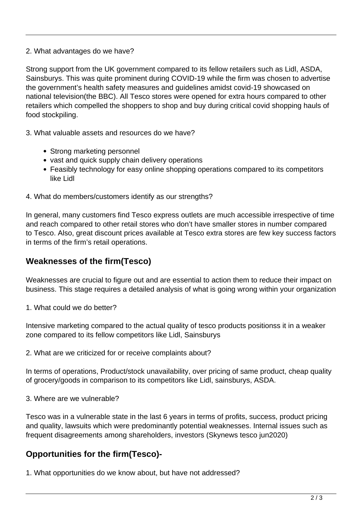#### 2. What advantages do we have?

Strong support from the UK government compared to its fellow retailers such as Lidl, ASDA, Sainsburys. This was quite prominent during COVID-19 while the firm was chosen to advertise the government's health safety measures and guidelines amidst covid-19 showcased on national television(the BBC). All Tesco stores were opened for extra hours compared to other retailers which compelled the shoppers to shop and buy during critical covid shopping hauls of food stockpiling.

3. What valuable assets and resources do we have?

- Strong marketing personnel
- vast and quick supply chain delivery operations
- Feasibly technology for easy online shopping operations compared to its competitors like Lidl
- 4. What do members/customers identify as our strengths?

In general, many customers find Tesco express outlets are much accessible irrespective of time and reach compared to other retail stores who don't have smaller stores in number compared to Tesco. Also, great discount prices available at Tesco extra stores are few key success factors in terms of the firm's retail operations.

#### **Weaknesses of the firm(Tesco)**

Weaknesses are crucial to figure out and are essential to action them to reduce their impact on business. This stage requires a detailed analysis of what is going wrong within your organization

1. What could we do better?

Intensive marketing compared to the actual quality of tesco products positionss it in a weaker zone compared to its fellow competitors like Lidl, Sainsburys

2. What are we criticized for or receive complaints about?

In terms of operations, Product/stock unavailability, over pricing of same product, cheap quality of grocery/goods in comparison to its competitors like Lidl, sainsburys, ASDA.

3. Where are we vulnerable?

Tesco was in a vulnerable state in the last 6 years in terms of profits, success, product pricing and quality, lawsuits which were predominantly potential weaknesses. Internal issues such as frequent disagreements among shareholders, investors (Skynews tesco jun2020)

# **Opportunities for the firm(Tesco)-**

1. What opportunities do we know about, but have not addressed?